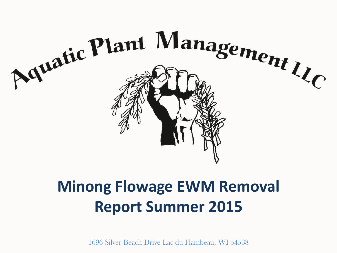

## **Minong Flowage EWM Removal Report Summer 2015**

1696 Silver Beach Drive Lac du Flambeau, WI 54538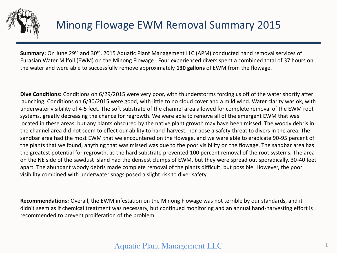

## Minong Flowage EWM Removal Summary 2015

**Summary:** On June 29<sup>th</sup> and 30<sup>th</sup>, 2015 Aquatic Plant Management LLC (APM) conducted hand removal services of Eurasian Water Milfoil (EWM) on the Minong Flowage. Four experienced divers spent a combined total of 37 hours on the water and were able to successfully remove approximately **130 gallons** of EWM from the flowage.

**Dive Conditions:** Conditions on 6/29/2015 were very poor, with thunderstorms forcing us off of the water shortly after launching. Conditions on 6/30/2015 were good, with little to no cloud cover and a mild wind. Water clarity was ok, with underwater visibility of 4-5 feet. The soft substrate of the channel area allowed for complete removal of the EWM root systems, greatly decreasing the chance for regrowth. We were able to remove all of the emergent EWM that was located in these areas, but any plants obscured by the native plant growth may have been missed. The woody debris in the channel area did not seem to effect our ability to hand-harvest, nor pose a safety threat to divers in the area. The sandbar area had the most EWM that we encountered on the flowage, and we were able to eradicate 90-95 percent of the plants that we found, anything that was missed was due to the poor visibility on the flowage. The sandbar area has the greatest potential for regrowth, as the hard substrate prevented 100 percent removal of the root systems. The area on the NE side of the sawdust island had the densest clumps of EWM, but they were spread out sporadically, 30-40 feet apart. The abundant woody debris made complete removal of the plants difficult, but possible. However, the poor visibility combined with underwater snags posed a slight risk to diver safety.

**Recommendations:** Overall, the EWM infestation on the Minong Flowage was not terrible by our standards, and it didn't seem as if chemical treatment was necessary, but continued monitoring and an annual hand-harvesting effort is recommended to prevent proliferation of the problem.